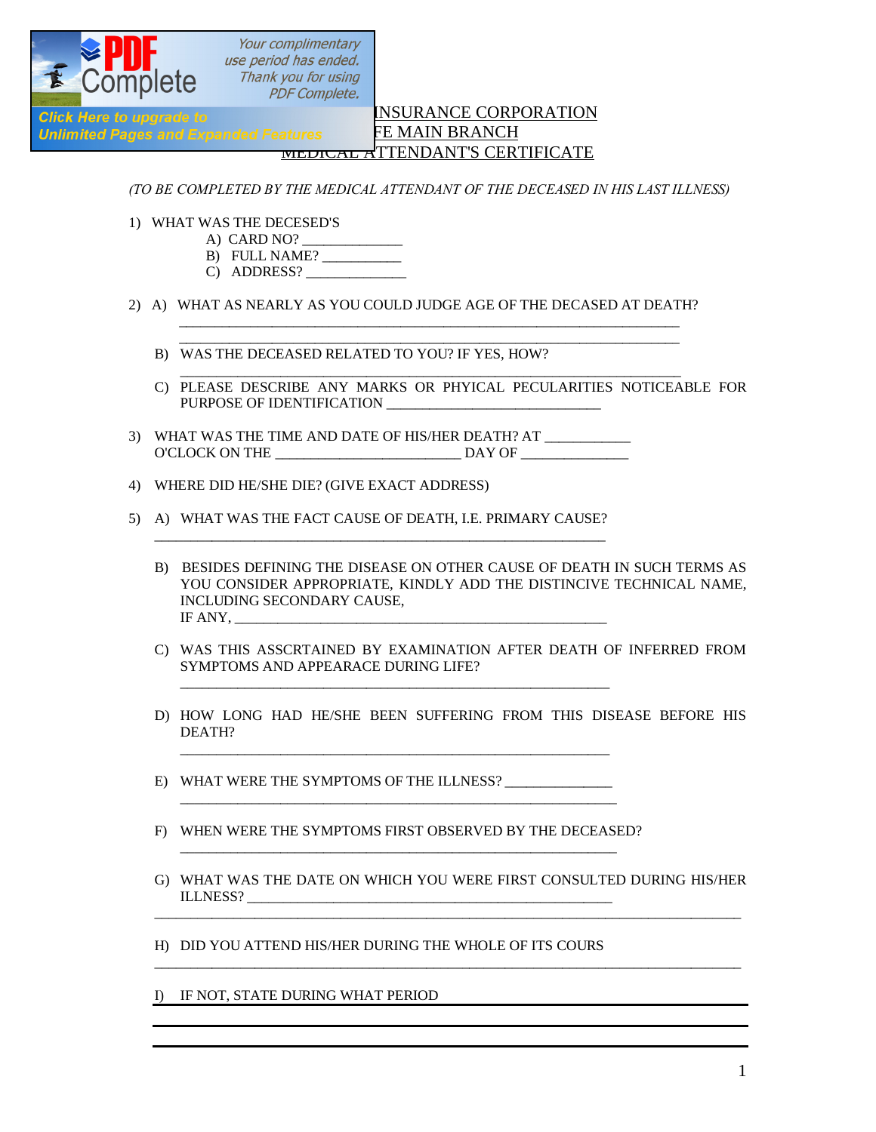

Your complimentary<br>use period has ended. Thank you for using **PDF Complete.** 

## INSURANCE CORPORATION Unlimited Pages and Expanded Features FE MAIN BRANCH MEDICAL ATTENDANT'S CERTIFICATE

*(TO BE COMPLETED BY THE MEDICAL ATTENDANT OF THE DECEASED IN HIS LAST ILLNESS)*

- 1) WHAT WAS THE DECESED'S
	- A) CARD NO?
	- B) FULL NAME?
	- C) ADDRESS?
- 2) A) WHAT AS NEARLY AS YOU COULD JUDGE AGE OF THE DECASED AT DEATH?  $\mathcal{L}_\text{max} = \frac{1}{2} \sum_{i=1}^{n} \frac{1}{2} \sum_{j=1}^{n} \frac{1}{2} \sum_{j=1}^{n} \frac{1}{2} \sum_{j=1}^{n} \frac{1}{2} \sum_{j=1}^{n} \frac{1}{2} \sum_{j=1}^{n} \frac{1}{2} \sum_{j=1}^{n} \frac{1}{2} \sum_{j=1}^{n} \frac{1}{2} \sum_{j=1}^{n} \frac{1}{2} \sum_{j=1}^{n} \frac{1}{2} \sum_{j=1}^{n} \frac{1}{2} \sum_{j=1}^{n} \frac{1$

 $\mathcal{L}_\text{max} = \frac{1}{2} \frac{1}{2} \frac{1}{2} \frac{1}{2} \frac{1}{2} \frac{1}{2} \frac{1}{2} \frac{1}{2} \frac{1}{2} \frac{1}{2} \frac{1}{2} \frac{1}{2} \frac{1}{2} \frac{1}{2} \frac{1}{2} \frac{1}{2} \frac{1}{2} \frac{1}{2} \frac{1}{2} \frac{1}{2} \frac{1}{2} \frac{1}{2} \frac{1}{2} \frac{1}{2} \frac{1}{2} \frac{1}{2} \frac{1}{2} \frac{1}{2} \frac{1}{2} \frac{1}{$ 

- B) WAS THE DECEASED RELATED TO YOU? IF YES, HOW?
- C) PLEASE DESCRIBE ANY MARKS OR PHYICAL PECULARITIES NOTICEABLE FOR PURPOSE OF IDENTIFICATION

\_\_\_\_\_\_\_\_\_\_\_\_\_\_\_\_\_\_\_\_\_\_\_\_\_\_\_\_\_\_\_\_\_\_\_\_\_\_\_\_\_\_\_\_\_\_\_\_\_\_\_\_\_\_\_\_\_\_\_\_\_\_\_\_\_\_\_\_\_\_

- 3) WHAT WAS THE TIME AND DATE OF HIS/HER DEATH? AT \_\_\_\_\_\_\_\_\_\_\_\_ O'CLOCK ON THE \_\_\_\_\_\_\_\_\_\_\_\_\_\_\_\_\_\_\_\_\_\_\_\_\_\_ DAY OF \_\_\_\_\_\_\_\_\_\_\_\_\_\_\_
- 4) WHERE DID HE/SHE DIE? (GIVE EXACT ADDRESS)
- 5) A) WHAT WAS THE FACT CAUSE OF DEATH, I.E. PRIMARY CAUSE?

\_\_\_\_\_\_\_\_\_\_\_\_\_\_\_\_\_\_\_\_\_\_\_\_\_\_\_\_\_\_\_\_\_\_\_\_\_\_\_\_\_\_\_\_\_\_\_\_\_\_\_\_\_\_\_\_\_\_\_\_\_\_\_

- B) BESIDES DEFINING THE DISEASE ON OTHER CAUSE OF DEATH IN SUCH TERMS AS YOU CONSIDER APPROPRIATE, KINDLY ADD THE DISTINCIVE TECHNICAL NAME, INCLUDING SECONDARY CAUSE, IF ANY,
- C) WAS THIS ASSCRTAINED BY EXAMINATION AFTER DEATH OF INFERRED FROM SYMPTOMS AND APPEARACE DURING LIFE?
- D) HOW LONG HAD HE/SHE BEEN SUFFERING FROM THIS DISEASE BEFORE HIS DEATH?
- E) WHAT WERE THE SYMPTOMS OF THE ILLNESS?
- F) WHEN WERE THE SYMPTOMS FIRST OBSERVED BY THE DECEASED? \_\_\_\_\_\_\_\_\_\_\_\_\_\_\_\_\_\_\_\_\_\_\_\_\_\_\_\_\_\_\_\_\_\_\_\_\_\_\_\_\_\_\_\_\_\_\_\_\_\_\_\_\_\_\_\_\_\_\_\_\_

\_\_\_\_\_\_\_\_\_\_\_\_\_\_\_\_\_\_\_\_\_\_\_\_\_\_\_\_\_\_\_\_\_\_\_\_\_\_\_\_\_\_\_\_\_\_\_\_\_\_\_\_\_\_\_\_\_\_\_\_\_

\_\_\_\_\_\_\_\_\_\_\_\_\_\_\_\_\_\_\_\_\_\_\_\_\_\_\_\_\_\_\_\_\_\_\_\_\_\_\_\_\_\_\_\_\_\_\_\_\_\_\_\_\_\_\_\_\_\_\_\_

\_\_\_\_\_\_\_\_\_\_\_\_\_\_\_\_\_\_\_\_\_\_\_\_\_\_\_\_\_\_\_\_\_\_\_\_\_\_\_\_\_\_\_\_\_\_\_\_\_\_\_\_\_\_\_\_\_\_\_\_

G) WHAT WAS THE DATE ON WHICH YOU WERE FIRST CONSULTED DURING HIS/HER ILLNESS? \_\_\_\_\_\_\_\_\_\_\_\_\_\_\_\_\_\_\_\_\_\_\_\_\_\_\_\_\_\_\_\_\_\_\_\_\_\_\_\_\_\_\_\_\_\_\_\_\_\_\_ \_\_\_\_\_\_\_\_\_\_\_\_\_\_\_\_\_\_\_\_\_\_\_\_\_\_\_\_\_\_\_\_\_\_\_\_\_\_\_\_\_\_\_\_\_\_\_\_\_\_\_\_\_\_\_\_\_\_\_\_\_\_\_\_\_\_\_\_\_\_\_\_\_\_\_\_\_\_\_\_\_\_

\_\_\_\_\_\_\_\_\_\_\_\_\_\_\_\_\_\_\_\_\_\_\_\_\_\_\_\_\_\_\_\_\_\_\_\_\_\_\_\_\_\_\_\_\_\_\_\_\_\_\_\_\_\_\_\_\_\_\_\_\_\_\_\_\_\_\_\_\_\_\_\_\_\_\_\_\_\_\_\_\_\_

H) DID YOU ATTEND HIS/HER DURING THE WHOLE OF ITS COURS

I) IF NOT, STATE DURING WHAT PERIOD